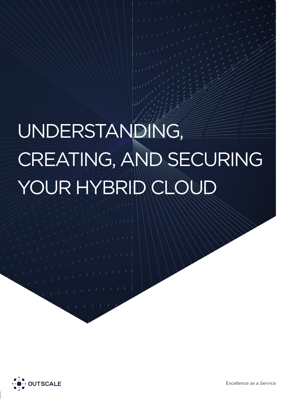# UNDERSTANDING, CREATING, AND SECURING YOUR HYBRID CLOUD



Excellence as a Service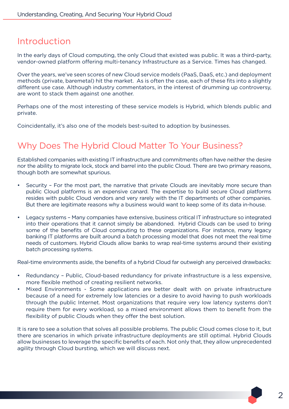### Introduction

In the early days of Cloud computing, the only Cloud that existed was public. It was a third-party, vendor-owned platform offering multi-tenancy Infrastructure as a Service. Times has changed.

Over the years, we've seen scores of new Cloud service models (PaaS, DaaS, etc.) and deployment methods (private, baremetal) hit the market. As is often the case, each of these fits into a slightly different use case. Although industry commentators, in the interest of drumming up controversy, are wont to stack them against one another.

Perhaps one of the most interesting of these service models is Hybrid, which blends public and private.

Coincidentally, it's also one of the models best-suited to adoption by businesses.

## Why Does The Hybrid Cloud Matter To Your Business?

Established companies with existing IT infrastructure and commitments often have neither the desire nor the ability to migrate lock, stock and barrel into the public Cloud. There are two primary reasons, though both are somewhat spurious.

- Security For the most part, the narrative that private Clouds are inevitably more secure than public Cloud platforms is an expensive canard. The expertise to build secure Cloud platforms resides with public Cloud vendors and very rarely with the IT departments of other companies. But there are legitimate reasons why a business would want to keep some of its data in-house.
- Legacy systems Many companies have extensive, business critical IT infrastructure so integrated into their operations that it cannot simply be abandoned. Hybrid Clouds can be used to bring some of the benefits of Cloud computing to these organizations. For instance, many legacy banking IT platforms are built around a batch processing model that does not meet the real time needs of customers. Hybrid Clouds allow banks to wrap real-time systems around their existing batch processing systems.

Real-time environments aside, the benefits of a hybrid Cloud far outweigh any perceived drawbacks:

- Redundancy Public, Cloud-based redundancy for private infrastructure is a less expensive, more flexible method of creating resilient networks.
- Mixed Environments Some applications are better dealt with on private infrastructure because of a need for extremely low latencies or a desire to avoid having to push workloads through the public Internet. Most organizations that require very low latency systems don't require them for every workload, so a mixed environment allows them to benefit from the flexibility of public Clouds when they offer the best solution.

It is rare to see a solution that solves all possible problems. The public Cloud comes close to it, but there are scenarios in which private infrastructure deployments are still optimal. Hybrid Clouds allow businesses to leverage the specific benefits of each. Not only that, they allow unprecedented agility through Cloud bursting, which we will discuss next.

 $\mathcal{P}$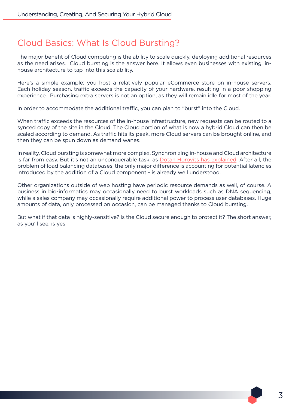## Cloud Basics: What Is Cloud Bursting?

The major benefit of Cloud computing is the ability to scale quickly, deploying additional resources as the need arises. Cloud bursting is the answer here. It allows even businesses with existing. inhouse architecture to tap into this scalability.

Here's a simple example: you host a relatively popular eCommerce store on in-house servers. Each holiday season, traffic exceeds the capacity of your hardware, resulting in a poor shopping experience. Purchasing extra servers is not an option, as they will remain idle for most of the year.

In order to accommodate the additional traffic, you can plan to "burst" into the Cloud.

When traffic exceeds the resources of the in-house infrastructure, new requests can be routed to a synced copy of the site in the Cloud. The Cloud portion of what is now a hybrid Cloud can then be scaled according to demand. As traffic hits its peak, more Cloud servers can be brought online, and then they can be spun down as demand wanes.

In reality, Cloud bursting is somewhat more complex. Synchronizing in-house and Cloud architecture is far from easy. But it's not an unconquerable task, as Dotan Horovits has explained. After all, the problem of load balancing databases, the only major difference is accounting for potential latencies introduced by the addition of a Cloud component - is already well understood.

Other organizations outside of web hosting have periodic resource demands as well, of course. A business in bio-informatics may occasionally need to burst workloads such as DNA sequencing, while a sales company may occasionally require additional power to process user databases. Huge amounts of data, only processed on occasion, can be managed thanks to Cloud bursting.

But what if that data is highly-sensitive? Is the Cloud secure enough to protect it? The short answer, as you'll see, is yes.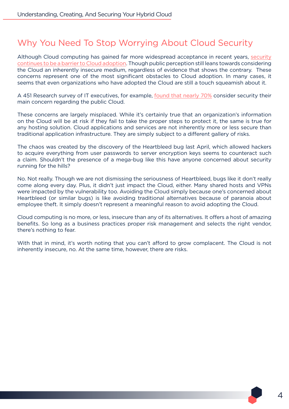## Why You Need To Stop Worrying About Cloud Security

Although Cloud computing has gained far more widespread acceptance in recent years, security continues to be a barrier to Cloud adoption. Though public perception still leans towards considering the Cloud an inherently insecure medium, regardless of evidence that shows the contrary. These concerns represent one of the most significant obstacles to Cloud adoption. In many cases, it seems that even organizations who have adopted the Cloud are still a touch squeamish about it.

A 451 Research survey of IT executives, for example, found that nearly 70% consider security their main concern regarding the public Cloud.

These concerns are largely misplaced. While it's certainly true that an organization's information on the Cloud will be at risk if they fail to take the proper steps to protect it, the same is true for any hosting solution. Cloud applications and services are not inherently more or less secure than traditional application infrastructure. They are simply subject to a different gallery of risks.

The chaos was created by the discovery of the Heartbleed bug last April, which allowed hackers to acquire everything from user passwords to server encryption keys seems to counteract such a claim. Shouldn't the presence of a mega-bug like this have anyone concerned about security running for the hills?

No. Not really. Though we are not dismissing the seriousness of Heartbleed, bugs like it don't really come along every day. Plus, it didn't just impact the Cloud, either. Many shared hosts and VPNs were impacted by the vulnerability too. Avoiding the Cloud simply because one's concerned about Heartbleed (or similar bugs) is like avoiding traditional alternatives because of paranoia about employee theft. It simply doesn't represent a meaningful reason to avoid adopting the Cloud.

Cloud computing is no more, or less, insecure than any of its alternatives. It offers a host of amazing benefits. So long as a business practices proper risk management and selects the right vendor, there's nothing to fear.

With that in mind, it's worth noting that you can't afford to grow complacent. The Cloud is not inherently insecure, no. At the same time, however, there are risks.